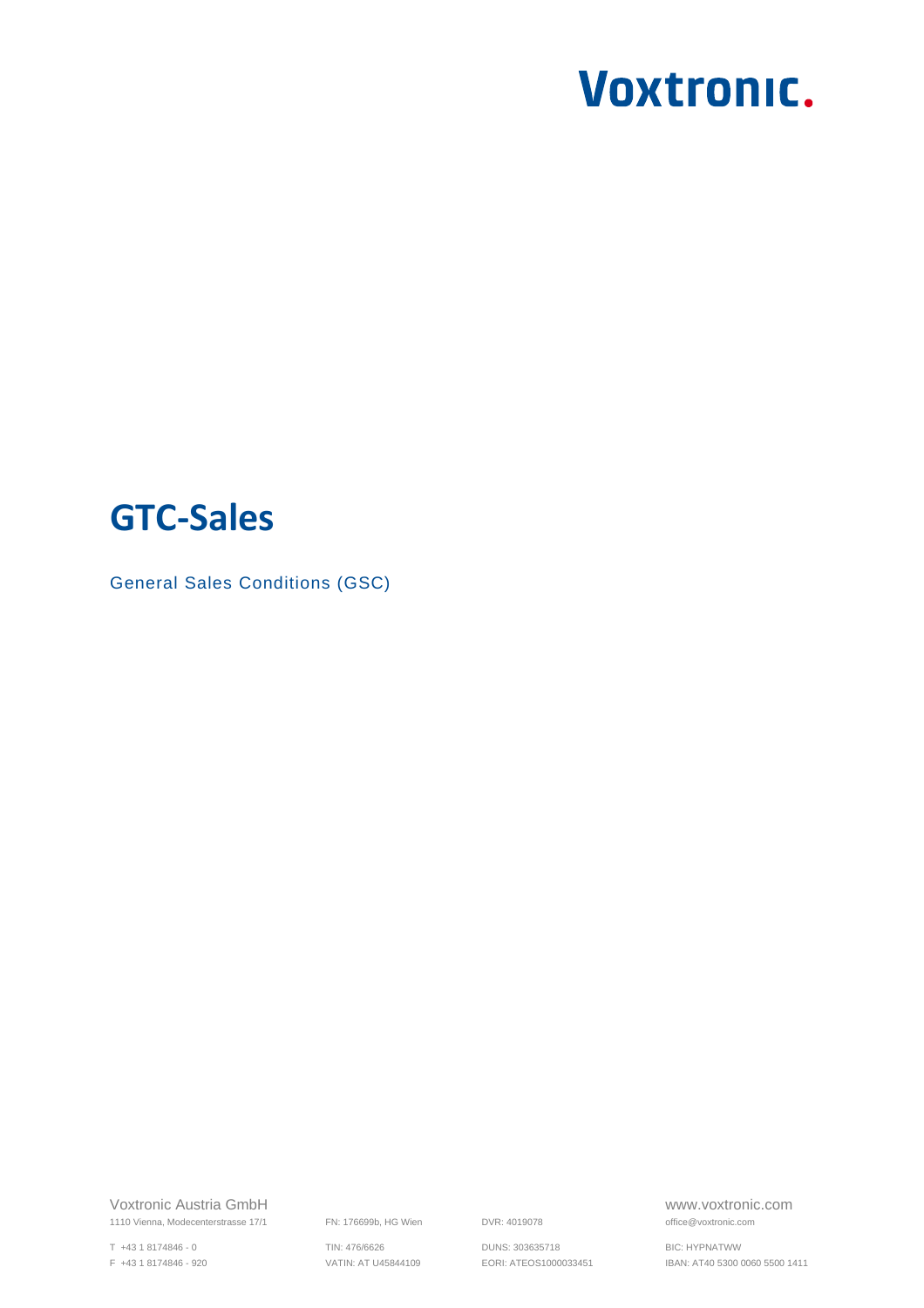# **GTC-Sales**

General Sales Conditions (GSC)

Voxtronic Austria GmbH www.voxtronic.com 1110 Vienna, Modecenterstrasse 17/1 FN: 176699b, HG Wien DVR: 4019078 **office**@voxtronic.com

T +43 1 8174846 - 0 TIN: 476/6626 DUNS: 303635718 BIC: HYPNATWW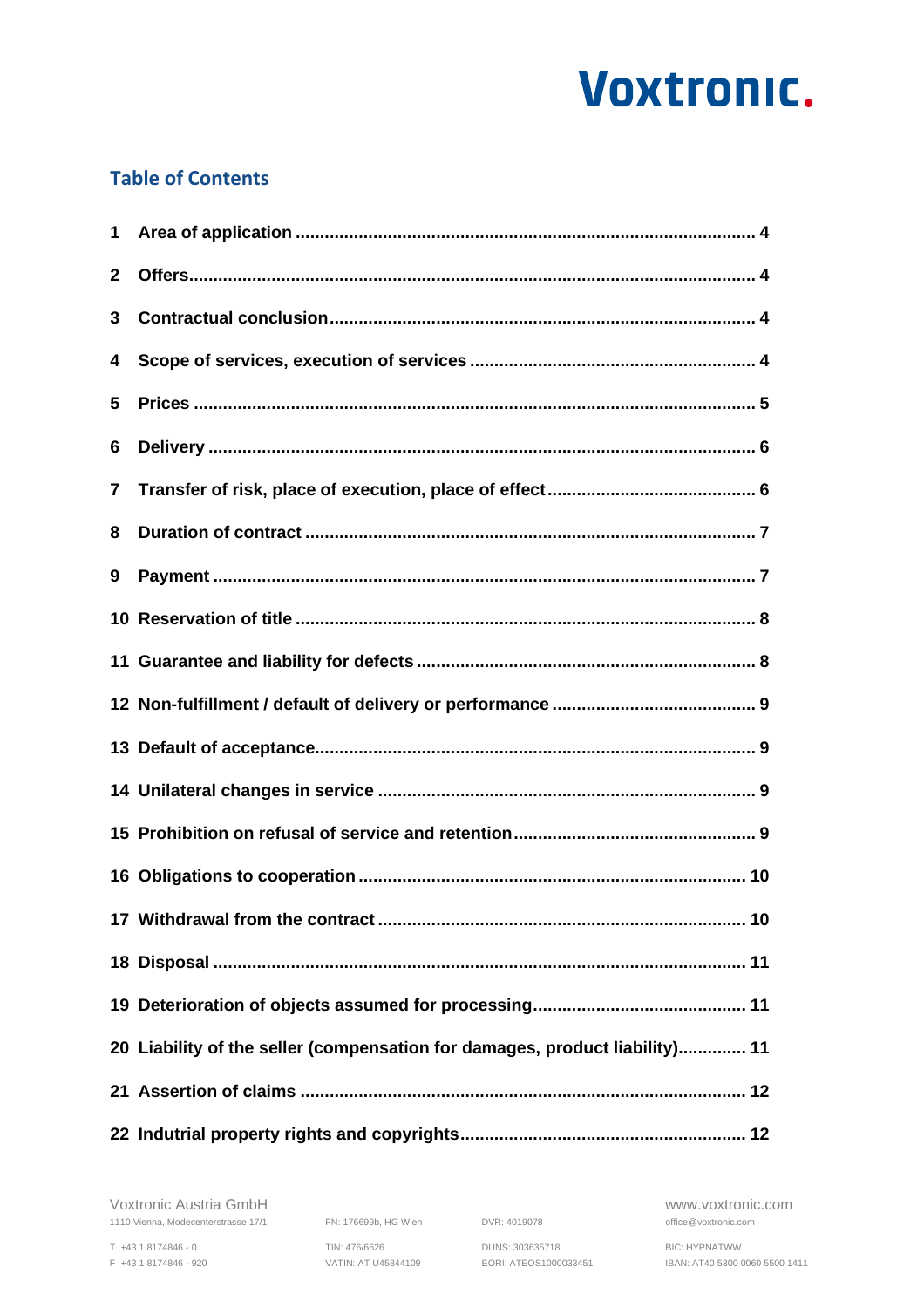# **Table of Contents**

| 1                       |                                                                             |  |
|-------------------------|-----------------------------------------------------------------------------|--|
| $\mathbf{2}$            |                                                                             |  |
| 3                       |                                                                             |  |
| 4                       |                                                                             |  |
| 5                       |                                                                             |  |
| 6                       |                                                                             |  |
| $\overline{\mathbf{7}}$ |                                                                             |  |
| 8                       |                                                                             |  |
| 9                       |                                                                             |  |
|                         |                                                                             |  |
|                         |                                                                             |  |
|                         |                                                                             |  |
|                         |                                                                             |  |
|                         |                                                                             |  |
|                         |                                                                             |  |
|                         |                                                                             |  |
|                         |                                                                             |  |
|                         |                                                                             |  |
|                         |                                                                             |  |
|                         | 20 Liability of the seller (compensation for damages, product liability) 11 |  |
|                         |                                                                             |  |
|                         |                                                                             |  |

Voxtronic Austria GmbH www.voxtronic.com 1110 Vienna, Modecenterstrasse 17/1 FN: 176699b, HG Wien DVR: 4019078 **office**@voxtronic.com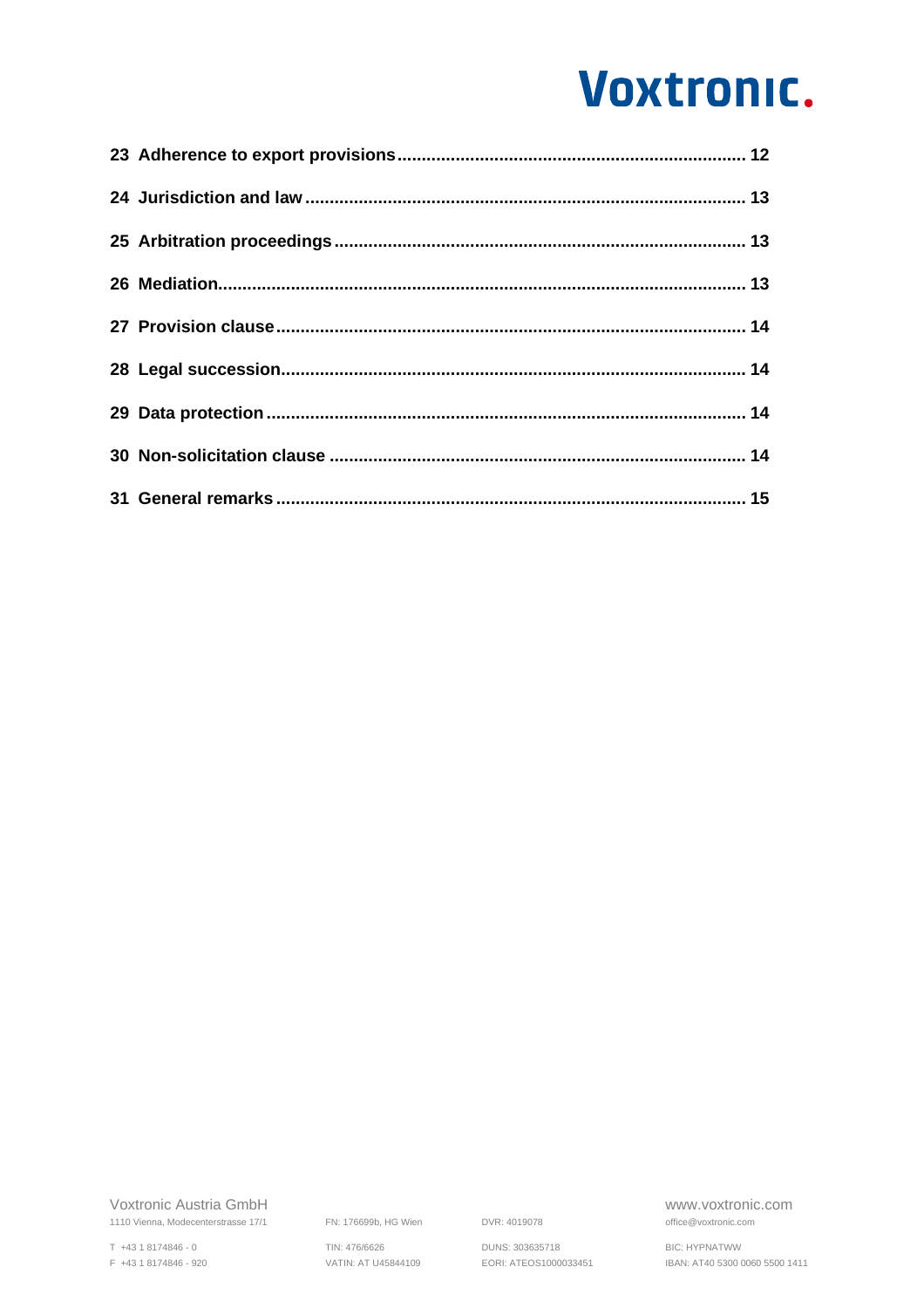T +43 1 8174846 - 0 TIN: 476/6626 DUNS: 303635718 BIC: HYPNATWW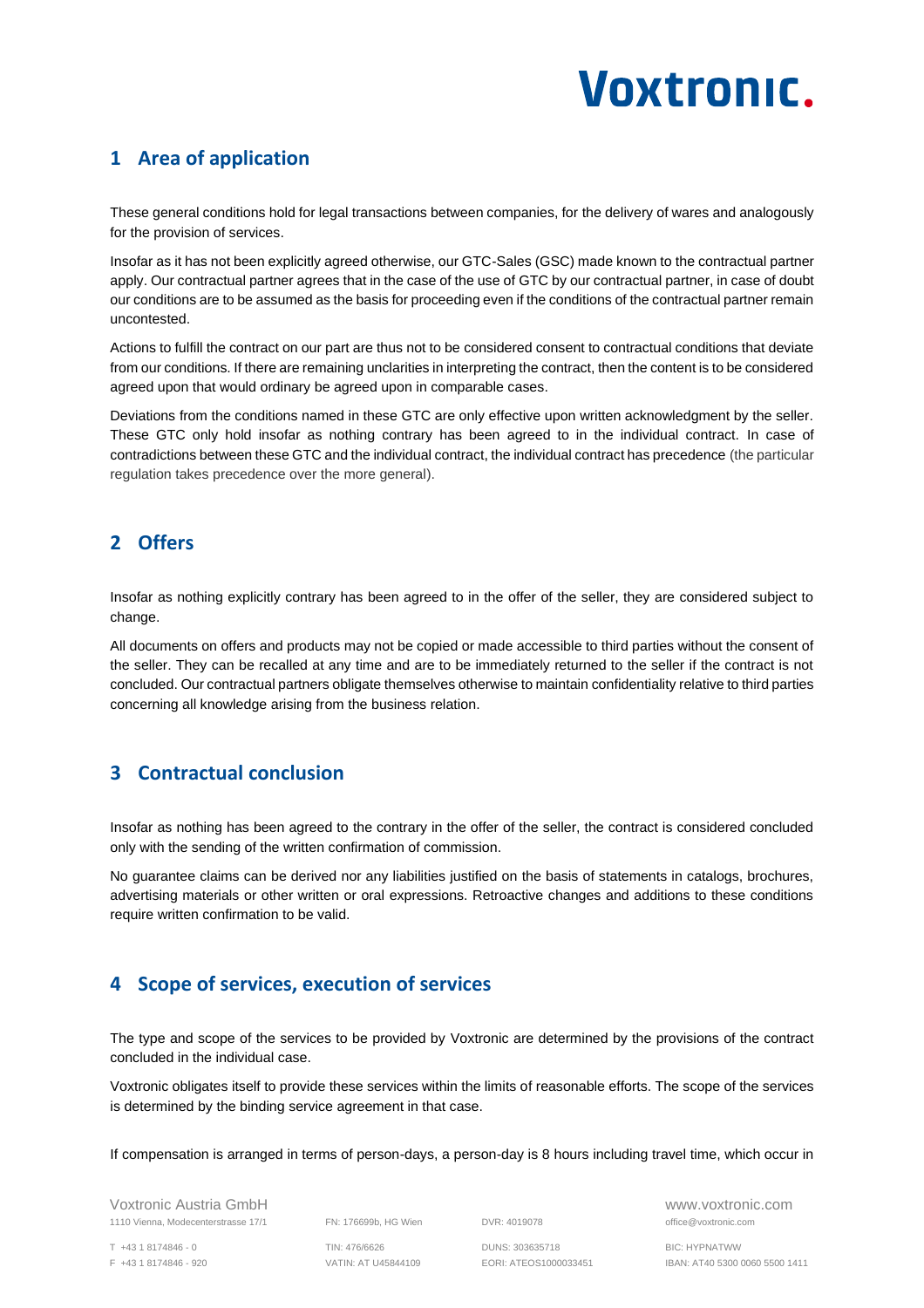### <span id="page-3-0"></span>**1 Area of application**

These general conditions hold for legal transactions between companies, for the delivery of wares and analogously for the provision of services.

Insofar as it has not been explicitly agreed otherwise, our GTC-Sales (GSC) made known to the contractual partner apply. Our contractual partner agrees that in the case of the use of GTC by our contractual partner, in case of doubt our conditions are to be assumed as the basis for proceeding even if the conditions of the contractual partner remain uncontested.

Actions to fulfill the contract on our part are thus not to be considered consent to contractual conditions that deviate from our conditions. If there are remaining unclarities in interpreting the contract, then the content is to be considered agreed upon that would ordinary be agreed upon in comparable cases.

Deviations from the conditions named in these GTC are only effective upon written acknowledgment by the seller. These GTC only hold insofar as nothing contrary has been agreed to in the individual contract. In case of contradictions between these GTC and the individual contract, the individual contract has precedence (the particular regulation takes precedence over the more general).

# <span id="page-3-1"></span>**2 Offers**

Insofar as nothing explicitly contrary has been agreed to in the offer of the seller, they are considered subject to change.

All documents on offers and products may not be copied or made accessible to third parties without the consent of the seller. They can be recalled at any time and are to be immediately returned to the seller if the contract is not concluded. Our contractual partners obligate themselves otherwise to maintain confidentiality relative to third parties concerning all knowledge arising from the business relation.

# <span id="page-3-2"></span>**3 Contractual conclusion**

Insofar as nothing has been agreed to the contrary in the offer of the seller, the contract is considered concluded only with the sending of the written confirmation of commission.

No guarantee claims can be derived nor any liabilities justified on the basis of statements in catalogs, brochures, advertising materials or other written or oral expressions. Retroactive changes and additions to these conditions require written confirmation to be valid.

# <span id="page-3-3"></span>**4 Scope of services, execution of services**

The type and scope of the services to be provided by Voxtronic are determined by the provisions of the contract concluded in the individual case.

Voxtronic obligates itself to provide these services within the limits of reasonable efforts. The scope of the services is determined by the binding service agreement in that case.

If compensation is arranged in terms of person-days, a person-day is 8 hours including travel time, which occur in

Voxtronic Austria GmbH www.voxtronic.com 1110 Vienna, Modecenterstrasse 17/1 FN: 176699b, HG Wien DVR: 4019078 office@voxtronic.com

T +43 1 8174846 - 0 TIN: 476/6626 DUNS: 303635718 BIC: HYPNATWW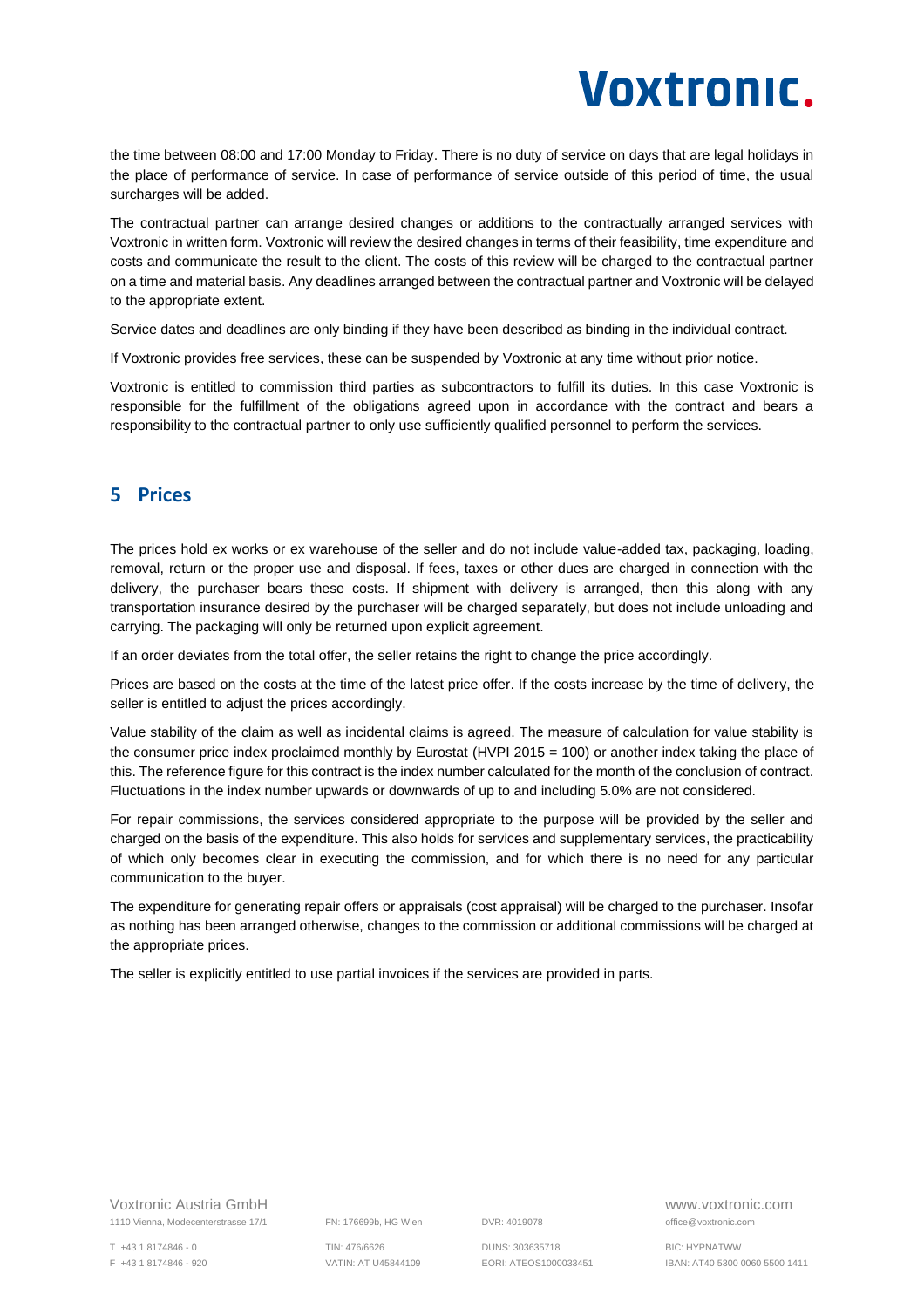the time between 08:00 and 17:00 Monday to Friday. There is no duty of service on days that are legal holidays in the place of performance of service. In case of performance of service outside of this period of time, the usual surcharges will be added.

The contractual partner can arrange desired changes or additions to the contractually arranged services with Voxtronic in written form. Voxtronic will review the desired changes in terms of their feasibility, time expenditure and costs and communicate the result to the client. The costs of this review will be charged to the contractual partner on a time and material basis. Any deadlines arranged between the contractual partner and Voxtronic will be delayed to the appropriate extent.

Service dates and deadlines are only binding if they have been described as binding in the individual contract.

If Voxtronic provides free services, these can be suspended by Voxtronic at any time without prior notice.

Voxtronic is entitled to commission third parties as subcontractors to fulfill its duties. In this case Voxtronic is responsible for the fulfillment of the obligations agreed upon in accordance with the contract and bears a responsibility to the contractual partner to only use sufficiently qualified personnel to perform the services.

#### <span id="page-4-0"></span>**5 Prices**

The prices hold ex works or ex warehouse of the seller and do not include value-added tax, packaging, loading, removal, return or the proper use and disposal. If fees, taxes or other dues are charged in connection with the delivery, the purchaser bears these costs. If shipment with delivery is arranged, then this along with any transportation insurance desired by the purchaser will be charged separately, but does not include unloading and carrying. The packaging will only be returned upon explicit agreement.

If an order deviates from the total offer, the seller retains the right to change the price accordingly.

Prices are based on the costs at the time of the latest price offer. If the costs increase by the time of delivery, the seller is entitled to adjust the prices accordingly.

Value stability of the claim as well as incidental claims is agreed. The measure of calculation for value stability is the consumer price index proclaimed monthly by Eurostat (HVPI 2015 = 100) or another index taking the place of this. The reference figure for this contract is the index number calculated for the month of the conclusion of contract. Fluctuations in the index number upwards or downwards of up to and including 5.0% are not considered.

For repair commissions, the services considered appropriate to the purpose will be provided by the seller and charged on the basis of the expenditure. This also holds for services and supplementary services, the practicability of which only becomes clear in executing the commission, and for which there is no need for any particular communication to the buyer.

The expenditure for generating repair offers or appraisals (cost appraisal) will be charged to the purchaser. Insofar as nothing has been arranged otherwise, changes to the commission or additional commissions will be charged at the appropriate prices.

The seller is explicitly entitled to use partial invoices if the services are provided in parts.

Voxtronic Austria GmbH www.voxtronic.com 1110 Vienna, Modecenterstrasse 17/1 FN: 176699b, HG Wien DVR: 4019078 office@voxtronic.com

T +43 1 8174846 - 0 TIN: 476/6626 DUNS: 303635718 BIC: HYPNATWW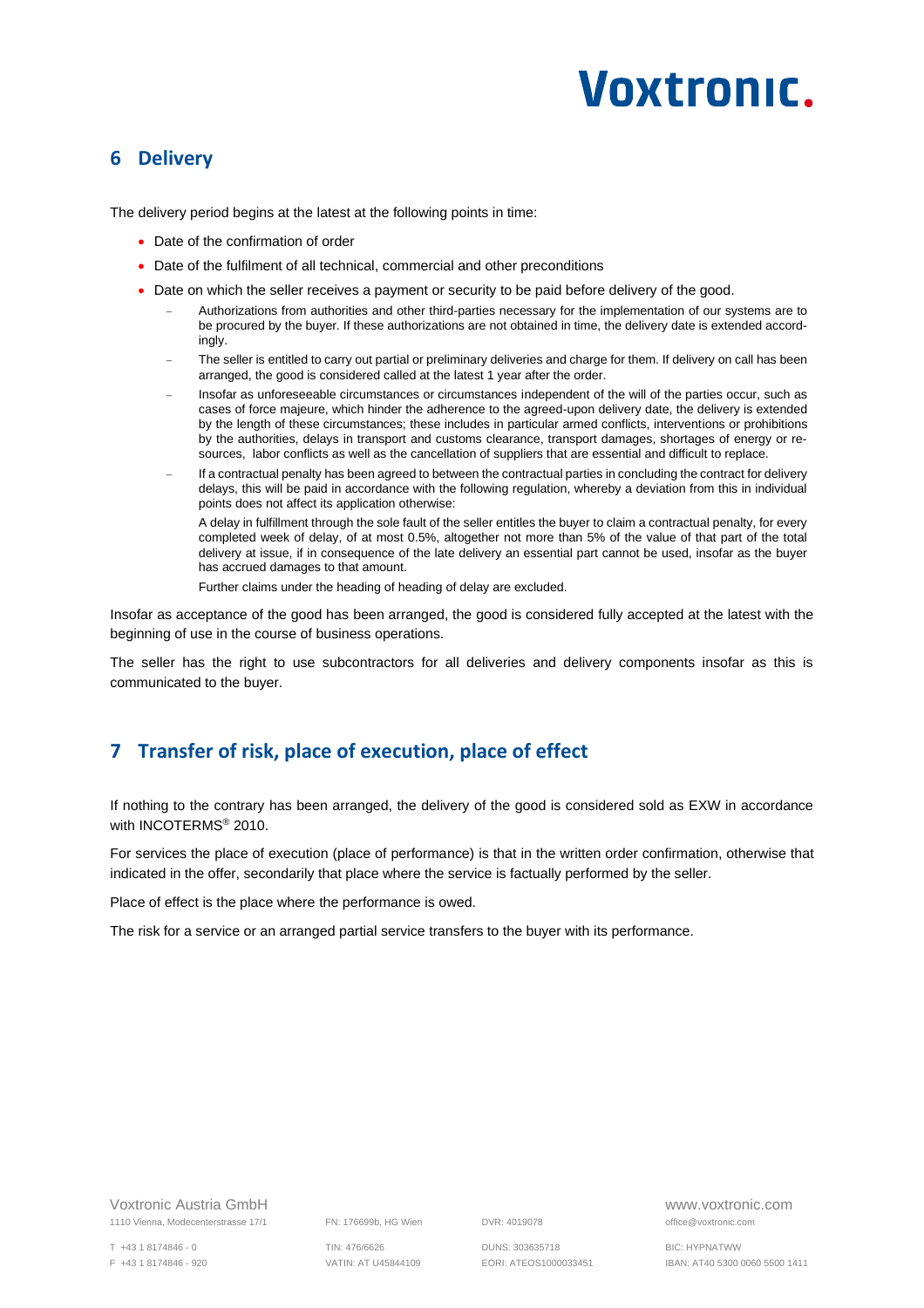#### <span id="page-5-0"></span>**6 Delivery**

The delivery period begins at the latest at the following points in time:

- Date of the confirmation of order
- Date of the fulfilment of all technical, commercial and other preconditions
- Date on which the seller receives a payment or security to be paid before delivery of the good.
	- − Authorizations from authorities and other third-parties necessary for the implementation of our systems are to be procured by the buyer. If these authorizations are not obtained in time, the delivery date is extended accordingly.
	- The seller is entitled to carry out partial or preliminary deliveries and charge for them. If delivery on call has been arranged, the good is considered called at the latest 1 year after the order.
	- − Insofar as unforeseeable circumstances or circumstances independent of the will of the parties occur, such as cases of force majeure, which hinder the adherence to the agreed-upon delivery date, the delivery is extended by the length of these circumstances; these includes in particular armed conflicts, interventions or prohibitions by the authorities, delays in transport and customs clearance, transport damages, shortages of energy or resources, labor conflicts as well as the cancellation of suppliers that are essential and difficult to replace.
	- − If a contractual penalty has been agreed to between the contractual parties in concluding the contract for delivery delays, this will be paid in accordance with the following regulation, whereby a deviation from this in individual points does not affect its application otherwise:

A delay in fulfillment through the sole fault of the seller entitles the buyer to claim a contractual penalty, for every completed week of delay, of at most 0.5%, altogether not more than 5% of the value of that part of the total delivery at issue, if in consequence of the late delivery an essential part cannot be used, insofar as the buyer has accrued damages to that amount.

Further claims under the heading of heading of delay are excluded.

Insofar as acceptance of the good has been arranged, the good is considered fully accepted at the latest with the beginning of use in the course of business operations.

The seller has the right to use subcontractors for all deliveries and delivery components insofar as this is communicated to the buyer.

# <span id="page-5-1"></span>**7 Transfer of risk, place of execution, place of effect**

If nothing to the contrary has been arranged, the delivery of the good is considered sold as EXW in accordance with INCOTERMS® 2010.

For services the place of execution (place of performance) is that in the written order confirmation, otherwise that indicated in the offer, secondarily that place where the service is factually performed by the seller.

Place of effect is the place where the performance is owed.

The risk for a service or an arranged partial service transfers to the buyer with its performance.

Voxtronic Austria GmbH www.voxtronic.com 1110 Vienna, Modecenterstrasse 17/1 FN: 176699b, HG Wien DVR: 4019078 office@voxtronic.com

T +43 1 8174846 - 0 TIN: 476/6626 DUNS: 303635718 BIC: HYPNATWW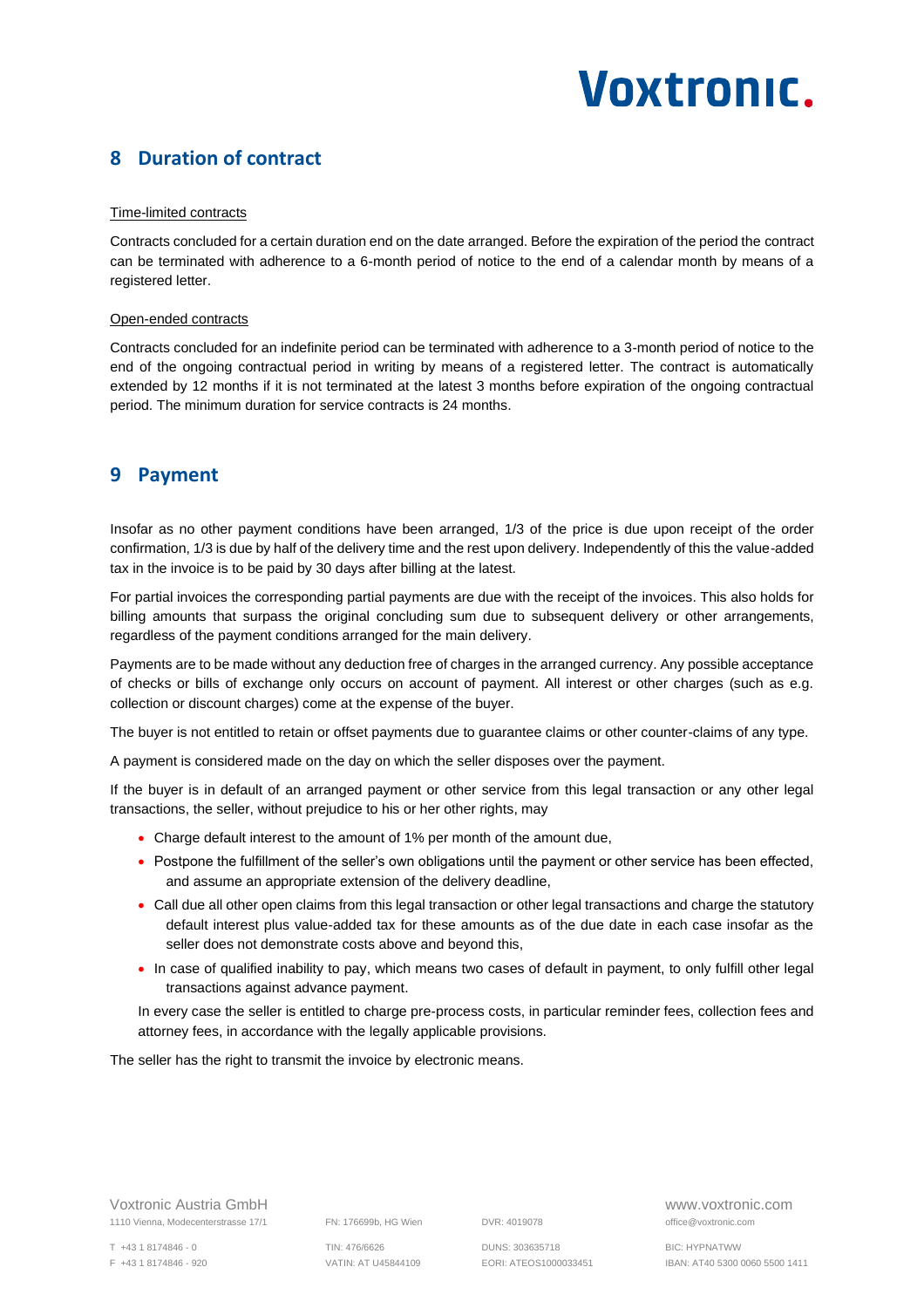### <span id="page-6-0"></span>**8 Duration of contract**

#### Time-limited contracts

Contracts concluded for a certain duration end on the date arranged. Before the expiration of the period the contract can be terminated with adherence to a 6-month period of notice to the end of a calendar month by means of a registered letter.

#### Open-ended contracts

Contracts concluded for an indefinite period can be terminated with adherence to a 3-month period of notice to the end of the ongoing contractual period in writing by means of a registered letter. The contract is automatically extended by 12 months if it is not terminated at the latest 3 months before expiration of the ongoing contractual period. The minimum duration for service contracts is 24 months.

#### <span id="page-6-1"></span>**9 Payment**

Insofar as no other payment conditions have been arranged, 1/3 of the price is due upon receipt of the order confirmation, 1/3 is due by half of the delivery time and the rest upon delivery. Independently of this the value-added tax in the invoice is to be paid by 30 days after billing at the latest.

For partial invoices the corresponding partial payments are due with the receipt of the invoices. This also holds for billing amounts that surpass the original concluding sum due to subsequent delivery or other arrangements, regardless of the payment conditions arranged for the main delivery.

Payments are to be made without any deduction free of charges in the arranged currency. Any possible acceptance of checks or bills of exchange only occurs on account of payment. All interest or other charges (such as e.g. collection or discount charges) come at the expense of the buyer.

The buyer is not entitled to retain or offset payments due to guarantee claims or other counter-claims of any type.

A payment is considered made on the day on which the seller disposes over the payment.

If the buyer is in default of an arranged payment or other service from this legal transaction or any other legal transactions, the seller, without prejudice to his or her other rights, may

- Charge default interest to the amount of 1% per month of the amount due,
- Postpone the fulfillment of the seller's own obligations until the payment or other service has been effected, and assume an appropriate extension of the delivery deadline,
- Call due all other open claims from this legal transaction or other legal transactions and charge the statutory default interest plus value-added tax for these amounts as of the due date in each case insofar as the seller does not demonstrate costs above and beyond this,
- In case of qualified inability to pay, which means two cases of default in payment, to only fulfill other legal transactions against advance payment.

In every case the seller is entitled to charge pre-process costs, in particular reminder fees, collection fees and attorney fees, in accordance with the legally applicable provisions.

The seller has the right to transmit the invoice by electronic means.

Voxtronic Austria GmbH www.voxtronic.com 1110 Vienna, Modecenterstrasse 17/1 FN: 176699b, HG Wien DVR: 4019078 office@voxtronic.com

T +43 1 8174846 - 0 TIN: 476/6626 DUNS: 303635718 BIC: HYPNATWW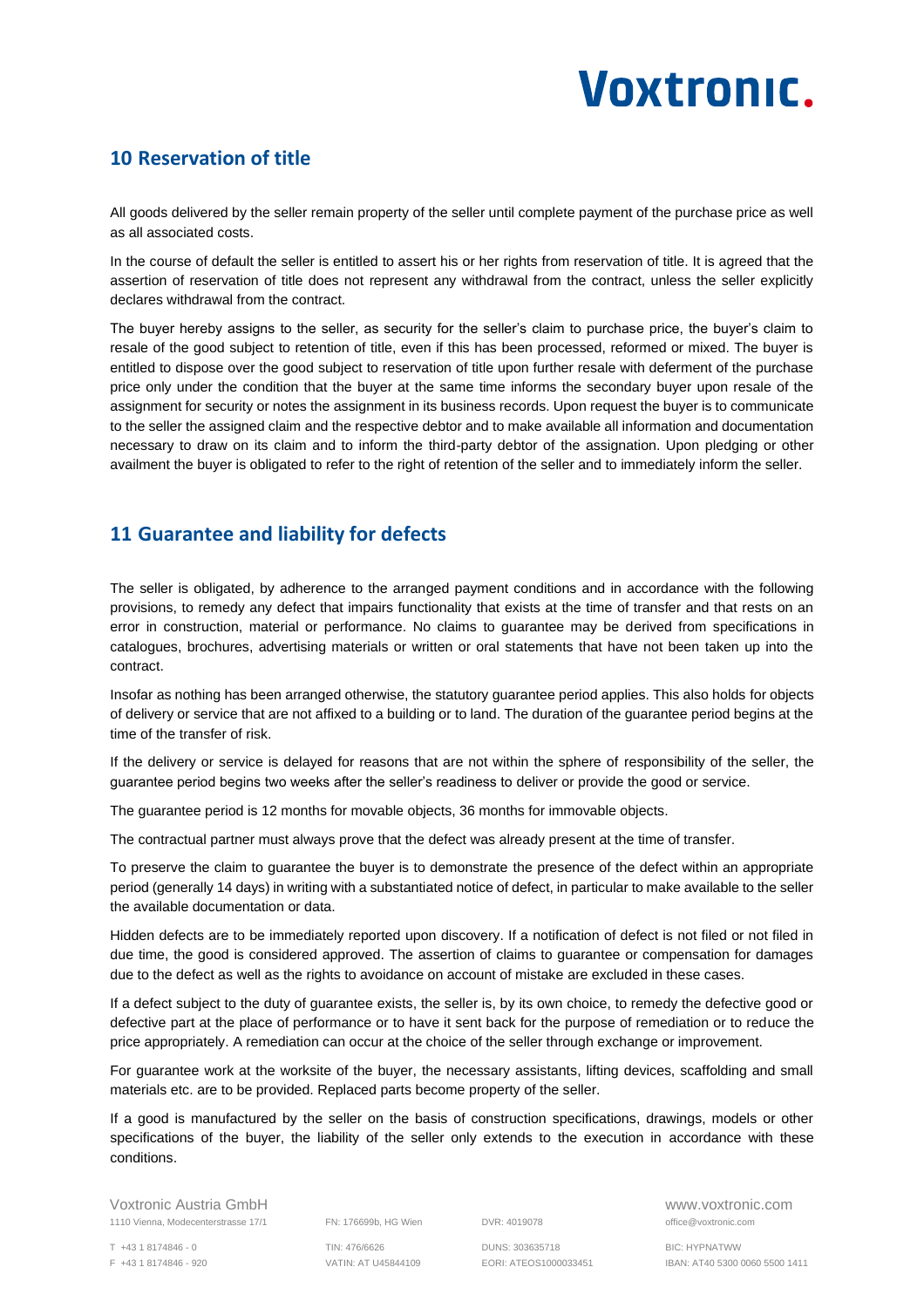### <span id="page-7-0"></span>**10 Reservation of title**

All goods delivered by the seller remain property of the seller until complete payment of the purchase price as well as all associated costs.

In the course of default the seller is entitled to assert his or her rights from reservation of title. It is agreed that the assertion of reservation of title does not represent any withdrawal from the contract, unless the seller explicitly declares withdrawal from the contract.

The buyer hereby assigns to the seller, as security for the seller's claim to purchase price, the buyer's claim to resale of the good subject to retention of title, even if this has been processed, reformed or mixed. The buyer is entitled to dispose over the good subject to reservation of title upon further resale with deferment of the purchase price only under the condition that the buyer at the same time informs the secondary buyer upon resale of the assignment for security or notes the assignment in its business records. Upon request the buyer is to communicate to the seller the assigned claim and the respective debtor and to make available all information and documentation necessary to draw on its claim and to inform the third-party debtor of the assignation. Upon pledging or other availment the buyer is obligated to refer to the right of retention of the seller and to immediately inform the seller.

### <span id="page-7-1"></span>**11 Guarantee and liability for defects**

The seller is obligated, by adherence to the arranged payment conditions and in accordance with the following provisions, to remedy any defect that impairs functionality that exists at the time of transfer and that rests on an error in construction, material or performance. No claims to guarantee may be derived from specifications in catalogues, brochures, advertising materials or written or oral statements that have not been taken up into the contract.

Insofar as nothing has been arranged otherwise, the statutory guarantee period applies. This also holds for objects of delivery or service that are not affixed to a building or to land. The duration of the guarantee period begins at the time of the transfer of risk.

If the delivery or service is delayed for reasons that are not within the sphere of responsibility of the seller, the guarantee period begins two weeks after the seller's readiness to deliver or provide the good or service.

The guarantee period is 12 months for movable objects, 36 months for immovable objects.

The contractual partner must always prove that the defect was already present at the time of transfer.

To preserve the claim to guarantee the buyer is to demonstrate the presence of the defect within an appropriate period (generally 14 days) in writing with a substantiated notice of defect, in particular to make available to the seller the available documentation or data.

Hidden defects are to be immediately reported upon discovery. If a notification of defect is not filed or not filed in due time, the good is considered approved. The assertion of claims to guarantee or compensation for damages due to the defect as well as the rights to avoidance on account of mistake are excluded in these cases.

If a defect subject to the duty of guarantee exists, the seller is, by its own choice, to remedy the defective good or defective part at the place of performance or to have it sent back for the purpose of remediation or to reduce the price appropriately. A remediation can occur at the choice of the seller through exchange or improvement.

For guarantee work at the worksite of the buyer, the necessary assistants, lifting devices, scaffolding and small materials etc. are to be provided. Replaced parts become property of the seller.

If a good is manufactured by the seller on the basis of construction specifications, drawings, models or other specifications of the buyer, the liability of the seller only extends to the execution in accordance with these conditions.

Voxtronic Austria GmbH www.voxtronic.com 1110 Vienna, Modecenterstrasse 17/1 FN: 176699b, HG Wien DVR: 4019078 office@voxtronic.com

T +43 1 8174846 - 0 TIN: 476/6626 DUNS: 303635718 BIC: HYPNATWW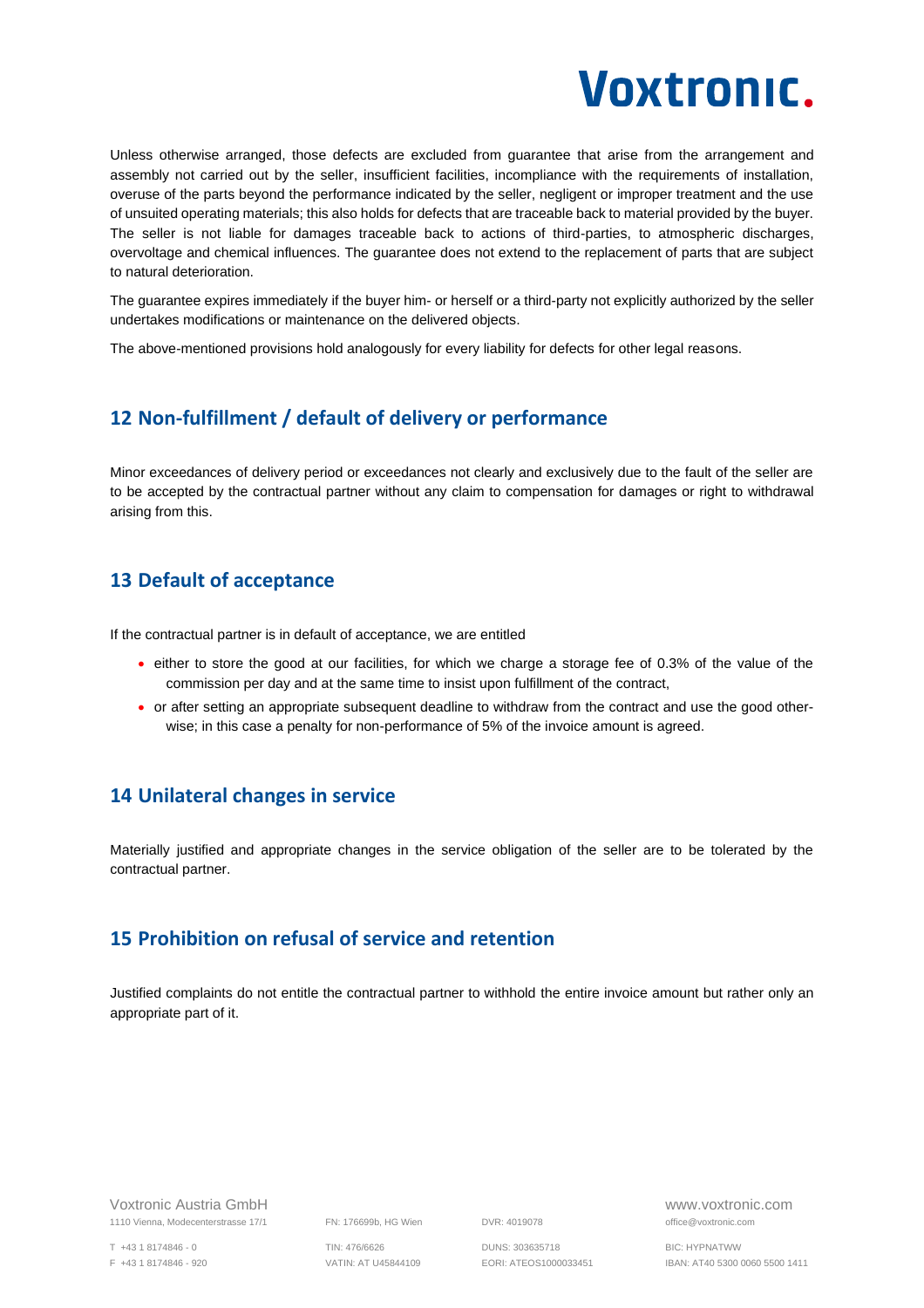

Unless otherwise arranged, those defects are excluded from guarantee that arise from the arrangement and assembly not carried out by the seller, insufficient facilities, incompliance with the requirements of installation, overuse of the parts beyond the performance indicated by the seller, negligent or improper treatment and the use of unsuited operating materials; this also holds for defects that are traceable back to material provided by the buyer. The seller is not liable for damages traceable back to actions of third-parties, to atmospheric discharges, overvoltage and chemical influences. The guarantee does not extend to the replacement of parts that are subject to natural deterioration.

The guarantee expires immediately if the buyer him- or herself or a third-party not explicitly authorized by the seller undertakes modifications or maintenance on the delivered objects.

<span id="page-8-0"></span>The above-mentioned provisions hold analogously for every liability for defects for other legal reasons.

#### **12 Non-fulfillment / default of delivery or performance**

Minor exceedances of delivery period or exceedances not clearly and exclusively due to the fault of the seller are to be accepted by the contractual partner without any claim to compensation for damages or right to withdrawal arising from this.

#### <span id="page-8-1"></span>**13 Default of acceptance**

If the contractual partner is in default of acceptance, we are entitled

- either to store the good at our facilities, for which we charge a storage fee of 0.3% of the value of the commission per day and at the same time to insist upon fulfillment of the contract,
- or after setting an appropriate subsequent deadline to withdraw from the contract and use the good otherwise; in this case a penalty for non-performance of 5% of the invoice amount is agreed.

#### <span id="page-8-2"></span>**14 Unilateral changes in service**

Materially justified and appropriate changes in the service obligation of the seller are to be tolerated by the contractual partner.

#### <span id="page-8-3"></span>**15 Prohibition on refusal of service and retention**

Justified complaints do not entitle the contractual partner to withhold the entire invoice amount but rather only an appropriate part of it.

Voxtronic Austria GmbH www.voxtronic.com 1110 Vienna, Modecenterstrasse 17/1 FN: 176699b, HG Wien DVR: 4019078 office@voxtronic.com

T +43 1 8174846 - 0 TIN: 476/6626 DUNS: 303635718 BIC: HYPNATWW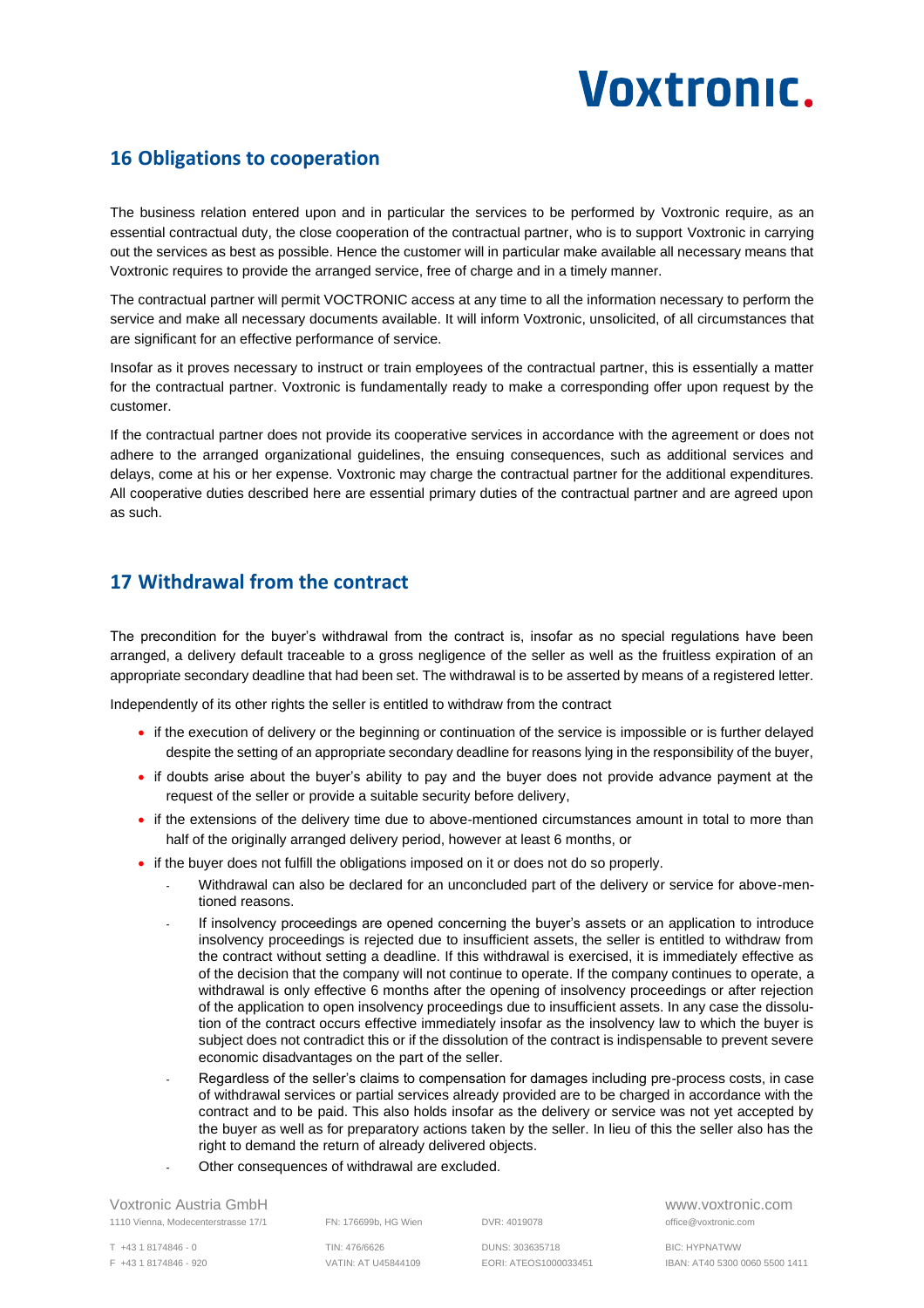### <span id="page-9-0"></span>**16 Obligations to cooperation**

The business relation entered upon and in particular the services to be performed by Voxtronic require, as an essential contractual duty, the close cooperation of the contractual partner, who is to support Voxtronic in carrying out the services as best as possible. Hence the customer will in particular make available all necessary means that Voxtronic requires to provide the arranged service, free of charge and in a timely manner.

The contractual partner will permit VOCTRONIC access at any time to all the information necessary to perform the service and make all necessary documents available. It will inform Voxtronic, unsolicited, of all circumstances that are significant for an effective performance of service.

Insofar as it proves necessary to instruct or train employees of the contractual partner, this is essentially a matter for the contractual partner. Voxtronic is fundamentally ready to make a corresponding offer upon request by the customer.

If the contractual partner does not provide its cooperative services in accordance with the agreement or does not adhere to the arranged organizational guidelines, the ensuing consequences, such as additional services and delays, come at his or her expense. Voxtronic may charge the contractual partner for the additional expenditures. All cooperative duties described here are essential primary duties of the contractual partner and are agreed upon as such.

### <span id="page-9-1"></span>**17 Withdrawal from the contract**

The precondition for the buyer's withdrawal from the contract is, insofar as no special regulations have been arranged, a delivery default traceable to a gross negligence of the seller as well as the fruitless expiration of an appropriate secondary deadline that had been set. The withdrawal is to be asserted by means of a registered letter.

Independently of its other rights the seller is entitled to withdraw from the contract

- if the execution of delivery or the beginning or continuation of the service is impossible or is further delayed despite the setting of an appropriate secondary deadline for reasons lying in the responsibility of the buyer,
- if doubts arise about the buyer's ability to pay and the buyer does not provide advance payment at the request of the seller or provide a suitable security before delivery,
- if the extensions of the delivery time due to above-mentioned circumstances amount in total to more than half of the originally arranged delivery period, however at least 6 months, or
- if the buyer does not fulfill the obligations imposed on it or does not do so properly.
	- Withdrawal can also be declared for an unconcluded part of the delivery or service for above-mentioned reasons.
	- If insolvency proceedings are opened concerning the buyer's assets or an application to introduce insolvency proceedings is rejected due to insufficient assets, the seller is entitled to withdraw from the contract without setting a deadline. If this withdrawal is exercised, it is immediately effective as of the decision that the company will not continue to operate. If the company continues to operate, a withdrawal is only effective 6 months after the opening of insolvency proceedings or after rejection of the application to open insolvency proceedings due to insufficient assets. In any case the dissolution of the contract occurs effective immediately insofar as the insolvency law to which the buyer is subject does not contradict this or if the dissolution of the contract is indispensable to prevent severe economic disadvantages on the part of the seller.
	- Regardless of the seller's claims to compensation for damages including pre-process costs, in case of withdrawal services or partial services already provided are to be charged in accordance with the contract and to be paid. This also holds insofar as the delivery or service was not yet accepted by the buyer as well as for preparatory actions taken by the seller. In lieu of this the seller also has the right to demand the return of already delivered objects.
	- Other consequences of withdrawal are excluded.

Voxtronic Austria GmbH www.voxtronic.com 1110 Vienna, Modecenterstrasse 17/1 FN: 176699b, HG Wien DVR: 4019078 office@voxtronic.com

T +43 1 8174846 - 0 TIN: 476/6626 DUNS: 303635718 BIC: HYPNATWW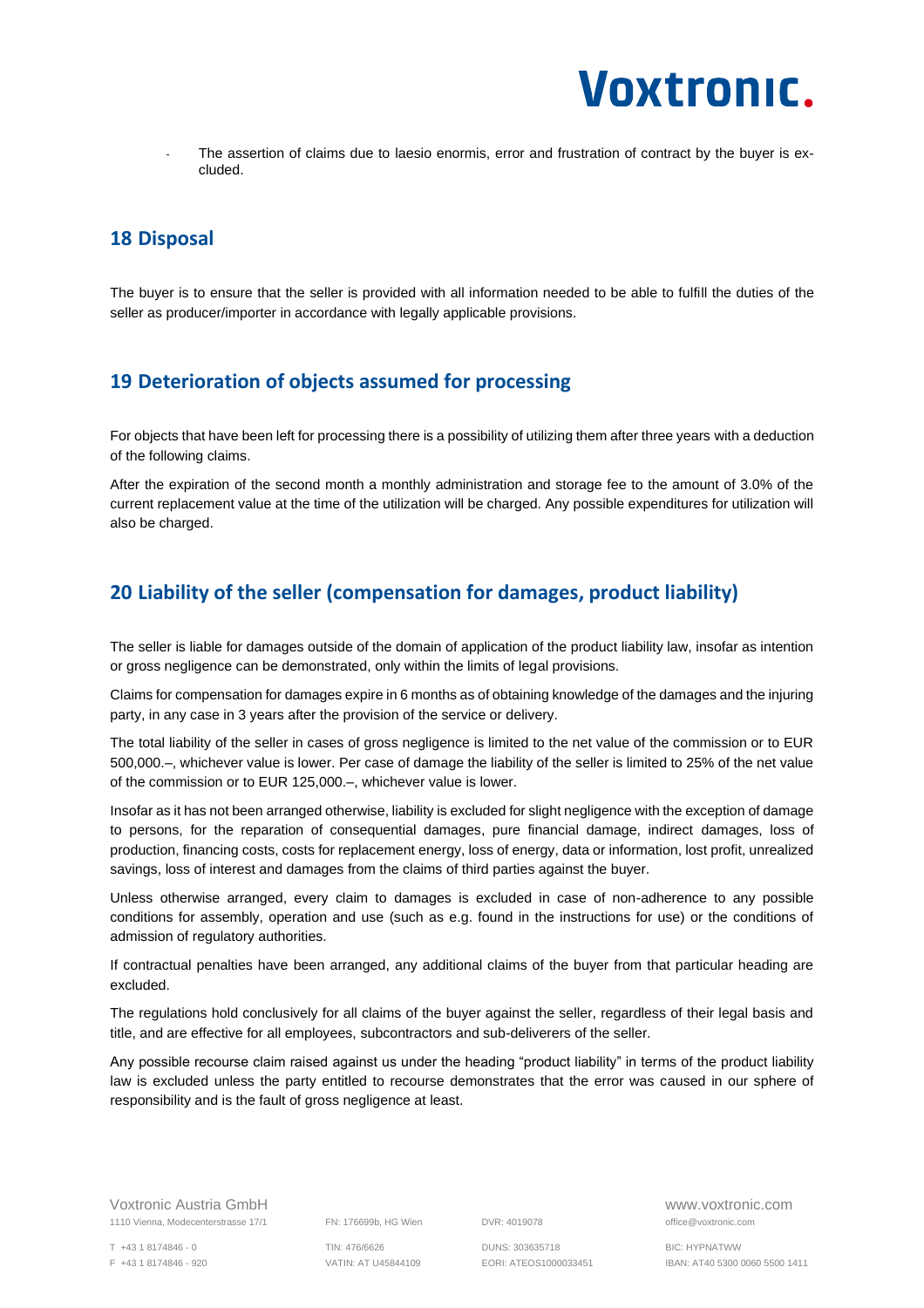

The assertion of claims due to laesio enormis, error and frustration of contract by the buyer is excluded.

#### <span id="page-10-0"></span>**18 Disposal**

The buyer is to ensure that the seller is provided with all information needed to be able to fulfill the duties of the seller as producer/importer in accordance with legally applicable provisions.

#### <span id="page-10-1"></span>**19 Deterioration of objects assumed for processing**

For objects that have been left for processing there is a possibility of utilizing them after three years with a deduction of the following claims.

After the expiration of the second month a monthly administration and storage fee to the amount of 3.0% of the current replacement value at the time of the utilization will be charged. Any possible expenditures for utilization will also be charged.

#### <span id="page-10-2"></span>**20 Liability of the seller (compensation for damages, product liability)**

The seller is liable for damages outside of the domain of application of the product liability law, insofar as intention or gross negligence can be demonstrated, only within the limits of legal provisions.

Claims for compensation for damages expire in 6 months as of obtaining knowledge of the damages and the injuring party, in any case in 3 years after the provision of the service or delivery.

The total liability of the seller in cases of gross negligence is limited to the net value of the commission or to EUR 500,000.–, whichever value is lower. Per case of damage the liability of the seller is limited to 25% of the net value of the commission or to EUR 125,000.–, whichever value is lower.

Insofar as it has not been arranged otherwise, liability is excluded for slight negligence with the exception of damage to persons, for the reparation of consequential damages, pure financial damage, indirect damages, loss of production, financing costs, costs for replacement energy, loss of energy, data or information, lost profit, unrealized savings, loss of interest and damages from the claims of third parties against the buyer.

Unless otherwise arranged, every claim to damages is excluded in case of non-adherence to any possible conditions for assembly, operation and use (such as e.g. found in the instructions for use) or the conditions of admission of regulatory authorities.

If contractual penalties have been arranged, any additional claims of the buyer from that particular heading are excluded.

The regulations hold conclusively for all claims of the buyer against the seller, regardless of their legal basis and title, and are effective for all employees, subcontractors and sub-deliverers of the seller.

Any possible recourse claim raised against us under the heading "product liability" in terms of the product liability law is excluded unless the party entitled to recourse demonstrates that the error was caused in our sphere of responsibility and is the fault of gross negligence at least.

T +43 1 8174846 - 0 TIN: 476/6626 DUNS: 303635718 BIC: HYPNATWW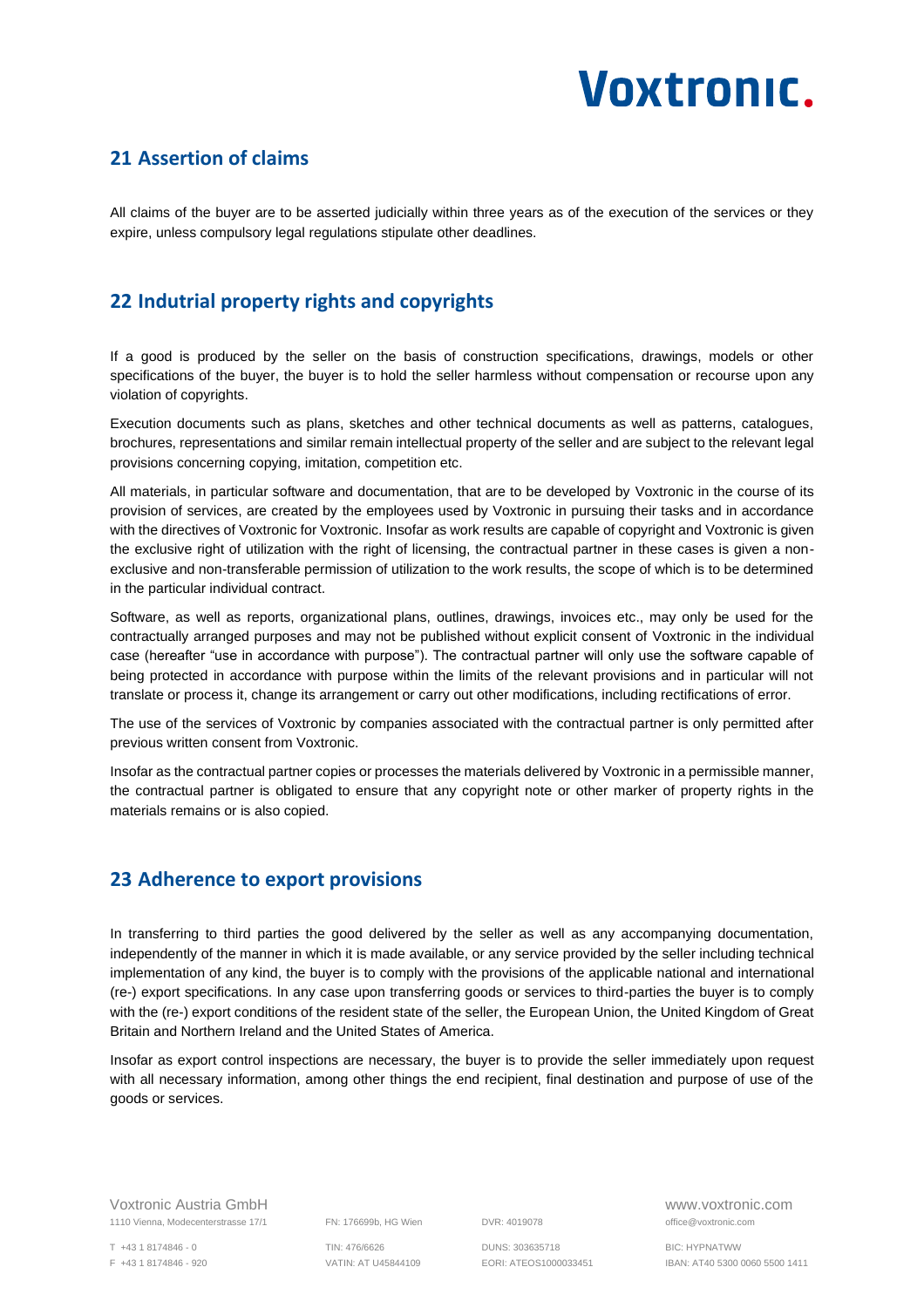### <span id="page-11-0"></span>**21 Assertion of claims**

All claims of the buyer are to be asserted judicially within three years as of the execution of the services or they expire, unless compulsory legal regulations stipulate other deadlines.

# <span id="page-11-1"></span>**22 Indutrial property rights and copyrights**

If a good is produced by the seller on the basis of construction specifications, drawings, models or other specifications of the buyer, the buyer is to hold the seller harmless without compensation or recourse upon any violation of copyrights.

Execution documents such as plans, sketches and other technical documents as well as patterns, catalogues, brochures, representations and similar remain intellectual property of the seller and are subject to the relevant legal provisions concerning copying, imitation, competition etc.

All materials, in particular software and documentation, that are to be developed by Voxtronic in the course of its provision of services, are created by the employees used by Voxtronic in pursuing their tasks and in accordance with the directives of Voxtronic for Voxtronic. Insofar as work results are capable of copyright and Voxtronic is given the exclusive right of utilization with the right of licensing, the contractual partner in these cases is given a nonexclusive and non-transferable permission of utilization to the work results, the scope of which is to be determined in the particular individual contract.

Software, as well as reports, organizational plans, outlines, drawings, invoices etc., may only be used for the contractually arranged purposes and may not be published without explicit consent of Voxtronic in the individual case (hereafter "use in accordance with purpose"). The contractual partner will only use the software capable of being protected in accordance with purpose within the limits of the relevant provisions and in particular will not translate or process it, change its arrangement or carry out other modifications, including rectifications of error.

The use of the services of Voxtronic by companies associated with the contractual partner is only permitted after previous written consent from Voxtronic.

Insofar as the contractual partner copies or processes the materials delivered by Voxtronic in a permissible manner, the contractual partner is obligated to ensure that any copyright note or other marker of property rights in the materials remains or is also copied.

### <span id="page-11-2"></span>**23 Adherence to export provisions**

In transferring to third parties the good delivered by the seller as well as any accompanying documentation, independently of the manner in which it is made available, or any service provided by the seller including technical implementation of any kind, the buyer is to comply with the provisions of the applicable national and international (re-) export specifications. In any case upon transferring goods or services to third-parties the buyer is to comply with the (re-) export conditions of the resident state of the seller, the European Union, the United Kingdom of Great Britain and Northern Ireland and the United States of America.

Insofar as export control inspections are necessary, the buyer is to provide the seller immediately upon request with all necessary information, among other things the end recipient, final destination and purpose of use of the goods or services.

Voxtronic Austria GmbH www.voxtronic.com 1110 Vienna, Modecenterstrasse 17/1 FN: 176699b, HG Wien DVR: 4019078 office@voxtronic.com

F +43 1 8174846 - 920 VATIN: AT U45844109 EORI: ATEOS1000033451 IBAN: AT40 5300 0060 5500 1411

T +43 1 8174846 - 0 TIN: 476/6626 DUNS: 303635718 BIC: HYPNATWW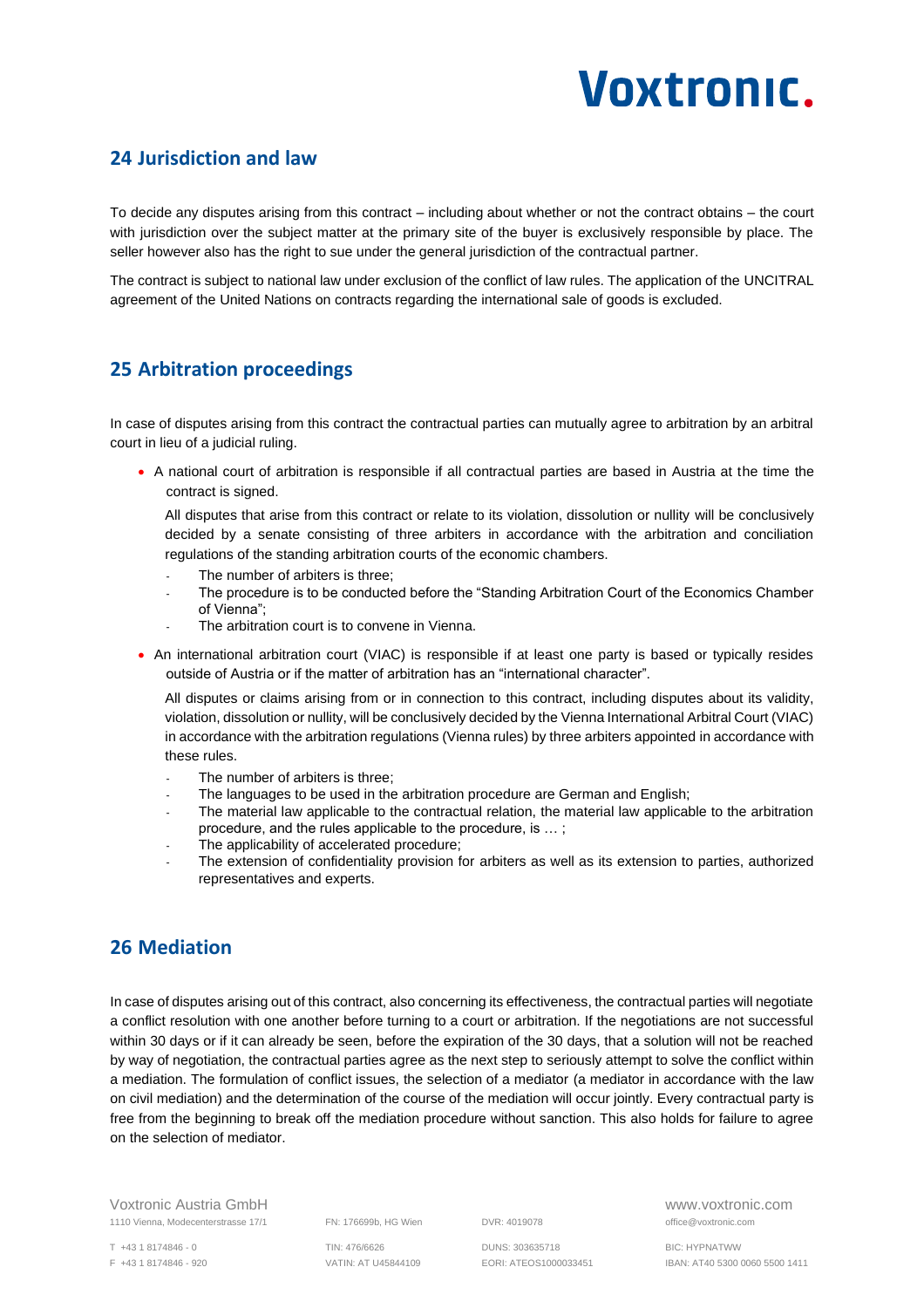### <span id="page-12-0"></span>**24 Jurisdiction and law**

To decide any disputes arising from this contract – including about whether or not the contract obtains – the court with jurisdiction over the subject matter at the primary site of the buyer is exclusively responsible by place. The seller however also has the right to sue under the general jurisdiction of the contractual partner.

The contract is subject to national law under exclusion of the conflict of law rules. The application of the UNCITRAL agreement of the United Nations on contracts regarding the international sale of goods is excluded.

### <span id="page-12-1"></span>**25 Arbitration proceedings**

In case of disputes arising from this contract the contractual parties can mutually agree to arbitration by an arbitral court in lieu of a judicial ruling.

• A national court of arbitration is responsible if all contractual parties are based in Austria at the time the contract is signed.

All disputes that arise from this contract or relate to its violation, dissolution or nullity will be conclusively decided by a senate consisting of three arbiters in accordance with the arbitration and conciliation regulations of the standing arbitration courts of the economic chambers.

- The number of arbiters is three;
- The procedure is to be conducted before the "Standing Arbitration Court of the Economics Chamber of Vienna";
- The arbitration court is to convene in Vienna.
- An international arbitration court (VIAC) is responsible if at least one party is based or typically resides outside of Austria or if the matter of arbitration has an "international character".

All disputes or claims arising from or in connection to this contract, including disputes about its validity, violation, dissolution or nullity, will be conclusively decided by the Vienna International Arbitral Court (VIAC) in accordance with the arbitration regulations (Vienna rules) by three arbiters appointed in accordance with these rules.

- The number of arbiters is three:
- The languages to be used in the arbitration procedure are German and English;
- The material law applicable to the contractual relation, the material law applicable to the arbitration procedure, and the rules applicable to the procedure, is … ;
- The applicability of accelerated procedure;
- The extension of confidentiality provision for arbiters as well as its extension to parties, authorized representatives and experts.

### <span id="page-12-2"></span>**26 Mediation**

In case of disputes arising out of this contract, also concerning its effectiveness, the contractual parties will negotiate a conflict resolution with one another before turning to a court or arbitration. If the negotiations are not successful within 30 days or if it can already be seen, before the expiration of the 30 days, that a solution will not be reached by way of negotiation, the contractual parties agree as the next step to seriously attempt to solve the conflict within a mediation. The formulation of conflict issues, the selection of a mediator (a mediator in accordance with the law on civil mediation) and the determination of the course of the mediation will occur jointly. Every contractual party is free from the beginning to break off the mediation procedure without sanction. This also holds for failure to agree on the selection of mediator.

Voxtronic Austria GmbH www.voxtronic.com 1110 Vienna, Modecenterstrasse 17/1 FN: 176699b, HG Wien DVR: 4019078 office@voxtronic.com

T +43 1 8174846 - 0 TIN: 476/6626 DUNS: 303635718 BIC: HYPNATWW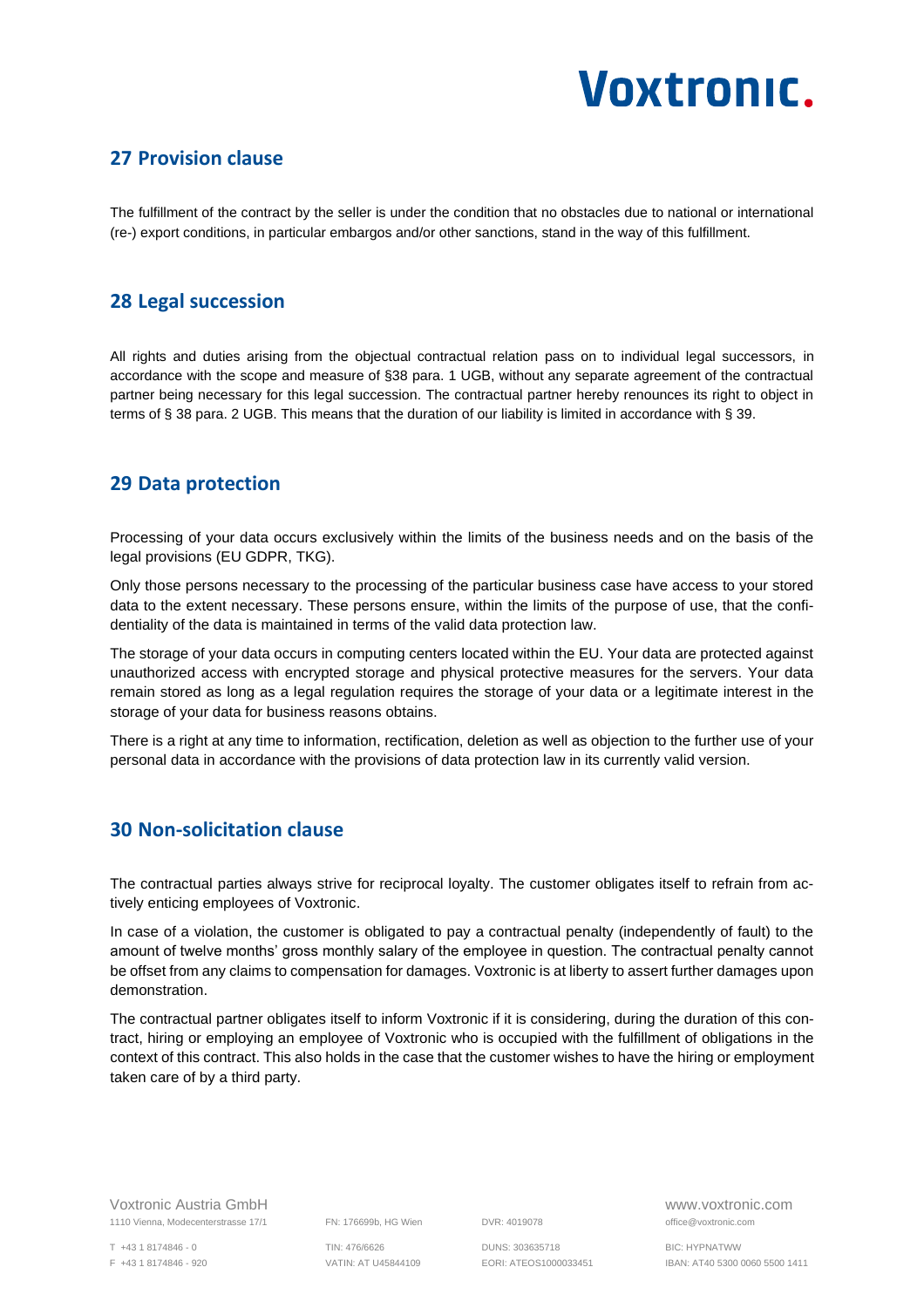#### <span id="page-13-0"></span>**27 Provision clause**

The fulfillment of the contract by the seller is under the condition that no obstacles due to national or international (re-) export conditions, in particular embargos and/or other sanctions, stand in the way of this fulfillment.

#### <span id="page-13-1"></span>**28 Legal succession**

All rights and duties arising from the objectual contractual relation pass on to individual legal successors, in accordance with the scope and measure of §38 para. 1 UGB, without any separate agreement of the contractual partner being necessary for this legal succession. The contractual partner hereby renounces its right to object in terms of § 38 para. 2 UGB. This means that the duration of our liability is limited in accordance with § 39.

#### <span id="page-13-2"></span>**29 Data protection**

Processing of your data occurs exclusively within the limits of the business needs and on the basis of the legal provisions (EU GDPR, TKG).

Only those persons necessary to the processing of the particular business case have access to your stored data to the extent necessary. These persons ensure, within the limits of the purpose of use, that the confidentiality of the data is maintained in terms of the valid data protection law.

The storage of your data occurs in computing centers located within the EU. Your data are protected against unauthorized access with encrypted storage and physical protective measures for the servers. Your data remain stored as long as a legal regulation requires the storage of your data or a legitimate interest in the storage of your data for business reasons obtains.

There is a right at any time to information, rectification, deletion as well as objection to the further use of your personal data in accordance with the provisions of data protection law in its currently valid version.

#### <span id="page-13-3"></span>**30 Non-solicitation clause**

The contractual parties always strive for reciprocal loyalty. The customer obligates itself to refrain from actively enticing employees of Voxtronic.

In case of a violation, the customer is obligated to pay a contractual penalty (independently of fault) to the amount of twelve months' gross monthly salary of the employee in question. The contractual penalty cannot be offset from any claims to compensation for damages. Voxtronic is at liberty to assert further damages upon demonstration.

The contractual partner obligates itself to inform Voxtronic if it is considering, during the duration of this contract, hiring or employing an employee of Voxtronic who is occupied with the fulfillment of obligations in the context of this contract. This also holds in the case that the customer wishes to have the hiring or employment taken care of by a third party.

Voxtronic Austria GmbH www.voxtronic.com 1110 Vienna, Modecenterstrasse 17/1 FN: 176699b, HG Wien DVR: 4019078 office@voxtronic.com

T +43 1 8174846 - 0 TIN: 476/6626 DUNS: 303635718 BIC: HYPNATWW